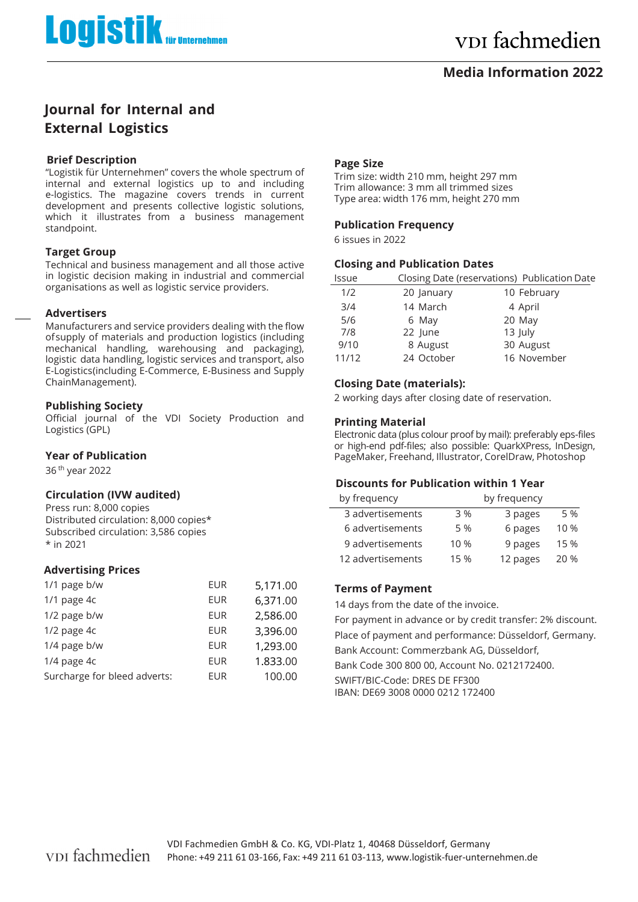## **Media Information 2022**

## **Journal for Internal and External Logistics**

## **Brief Description**

"Logistik für Unternehmen" covers the whole spectrum of internal and external logistics up to and including e-logistics. The magazine covers trends in current development and presents collective logistic solutions, which it illustrates from a business management standpoint.

## **Target Group**

Technical and business management and all those active in logistic decision making in industrial and commercial organisations as well as logistic service providers.

#### **Advertisers**

Manufacturers and service providers dealing with the flow of supply of materials and production logistics (including mechanical handling, warehousing and packaging), logistic data handling, logistic services and transport, also E-Logistics (including E-Commerce, E-Business and Supply Chain Management).

## **Publishing Society**

Official journal of the VDI Society Production and Logistics (GPL)

## **Year of Publication**

36 th year 2022

## **Circulation (IVW audited)**

Press run: 8,000 copies Distributed circulation: 8,000 copies\* Subscribed circulation: 3,586 copies \* in 2021

## **Advertising Prices**

| 1/1 page b/w                 | <b>EUR</b> | 5,171.00 |
|------------------------------|------------|----------|
| 1/1 page 4c                  | <b>EUR</b> | 6,371.00 |
| 1/2 page b/w                 | EUR        | 2,586.00 |
| $1/2$ page $4c$              | EUR        | 3,396.00 |
| 1/4 page b/w                 | <b>EUR</b> | 1,293.00 |
| 1/4 page 4c                  | <b>EUR</b> | 1.833.00 |
| Surcharge for bleed adverts: | <b>EUR</b> | 100.00   |
|                              |            |          |

#### **Page Size**

Trim size: width 210 mm, height 297 mm Trim allowance: 3 mm all trimmed sizes Type area: width 176 mm, height 270 mm

#### **Publication Frequency**

6 issues in 2022

## **Closing and Publication Dates**

| lssue |            | Closing Date (reservations) Publication Date |
|-------|------------|----------------------------------------------|
| 1/2   | 20 January | 10 February                                  |
| 3/4   | 14 March   | 4 April                                      |
| 5/6   | 6 May      | 20 May                                       |
| 7/8   | 22 June    | 13 July                                      |
| 9/10  | 8 August   | 30 August                                    |
| 11/12 | 24 October | 16 November                                  |
|       |            |                                              |

## **Closing Date (materials):**

2 working days after closing date of reservation.

## **Printing Material**

Electronic data (plus colour proof by mail): preferably eps-files or highend pdffiles; also possible: QuarkXPress, InDesign, PageMaker, Freehand, Illustrator, CorelDraw, Photoshop

## **Discounts for Publication within 1 Year**

| by frequency      | by frequency |          |      |
|-------------------|--------------|----------|------|
| 3 advertisements  | 3 %          | 3 pages  | 5 %  |
| 6 advertisements  | 5 %          | 6 pages  | 10 % |
| 9 advertisements  | 10 %         | 9 pages  | 15 % |
| 12 advertisements | 15 %         | 12 pages | 20 % |

## **Terms of Payment**

14 days from the date of the invoice. For payment in advance or by credit transfer: 2% discount. Place of payment and performance: Düsseldorf, Germany. Bank Account: Commerzbank AG, Düsseldorf, Bank Code 300 800 00, Account No. 0212172400. SWIFT/BIC-Code: DRES DE FF300 IBAN: DE69 3008 0000 0212 172400